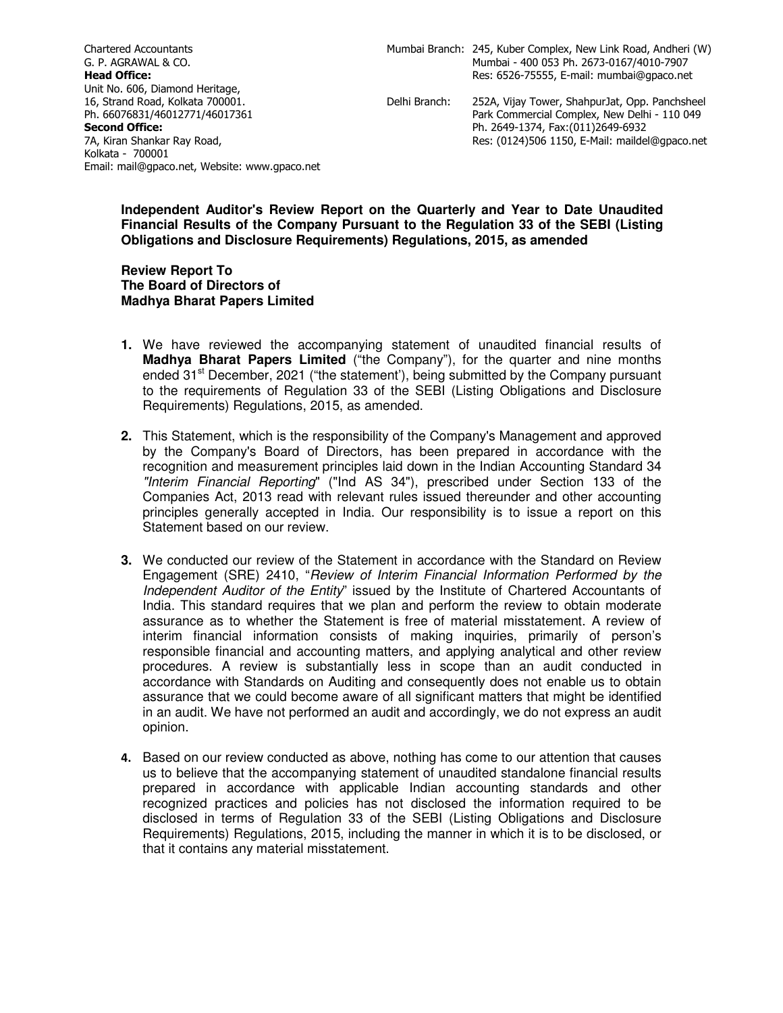Chartered Accountants G. P. AGRAWAL & CO. **Head Office:** Unit No. 606, Diamond Heritage, 16, Strand Road, Kolkata 700001. Ph. 66076831/46012771/46017361 **Second Office:** 7A, Kiran Shankar Ray Road, Kolkata - 700001 Email: mail@gpaco.net, Website: www.gpaco.net

Delhi Branch

: 252A, Vijay Tower, ShahpurJat, Opp. Panchsheel Park Commercial Complex, New Delhi - 110 049 Ph. 2649-1374, Fax:(011)2649-6932 Res: (0124)506 1150, E-Mail: maildel@gpaco.net

## **Independent Auditor's Review Report on the Quarterly and Year to Date Unaudited Financial Results of the Company Pursuant to the Regulation 33 of the SEBI (Listing Obligations and Disclosure Requirements) Regulations, 2015, as amended**

## **Review Report To The Board of Directors of Madhya Bharat Papers Limited**

- **1.** We have reviewed the accompanying statement of unaudited financial results of **Madhya Bharat Papers Limited** ("the Company"), for the quarter and nine months ended  $31<sup>st</sup>$  December, 2021 ("the statement"), being submitted by the Company pursuant to the requirements of Regulation 33 of the SEBI (Listing Obligations and Disclosure Requirements) Regulations, 2015, as amended.
- **2.** This Statement, which is the responsibility of the Company's Management and approved by the Company's Board of Directors, has been prepared in accordance with the recognition and measurement principles laid down in the Indian Accounting Standard 34 "Interim Financial Reporting" ("Ind AS 34"), prescribed under Section 133 of the Companies Act, 2013 read with relevant rules issued thereunder and other accounting principles generally accepted in India. Our responsibility is to issue a report on this Statement based on our review.
- **3.** We conducted our review of the Statement in accordance with the Standard on Review Engagement (SRE) 2410, "Review of Interim Financial Information Performed by the Independent Auditor of the Entity" issued by the Institute of Chartered Accountants of India. This standard requires that we plan and perform the review to obtain moderate assurance as to whether the Statement is free of material misstatement. A review of interim financial information consists of making inquiries, primarily of person's responsible financial and accounting matters, and applying analytical and other review procedures. A review is substantially less in scope than an audit conducted in accordance with Standards on Auditing and consequently does not enable us to obtain assurance that we could become aware of all significant matters that might be identified in an audit. We have not performed an audit and accordingly, we do not express an audit opinion.
- 4. Based on our review conducted as above, nothing has come to our attention that causes us to believe that the accompanying statement of unaudited standalone financial results prepared in accordance with applicable Indian accounting standards and other recognized practices and policies has not disclosed the information required to be disclosed in terms of Regulation 33 of the SEBI (Listing Obligations and Disclosure Requirements) Regulations, 2015, including the manner in which it is to be disclosed, or that it contains any material misstatement.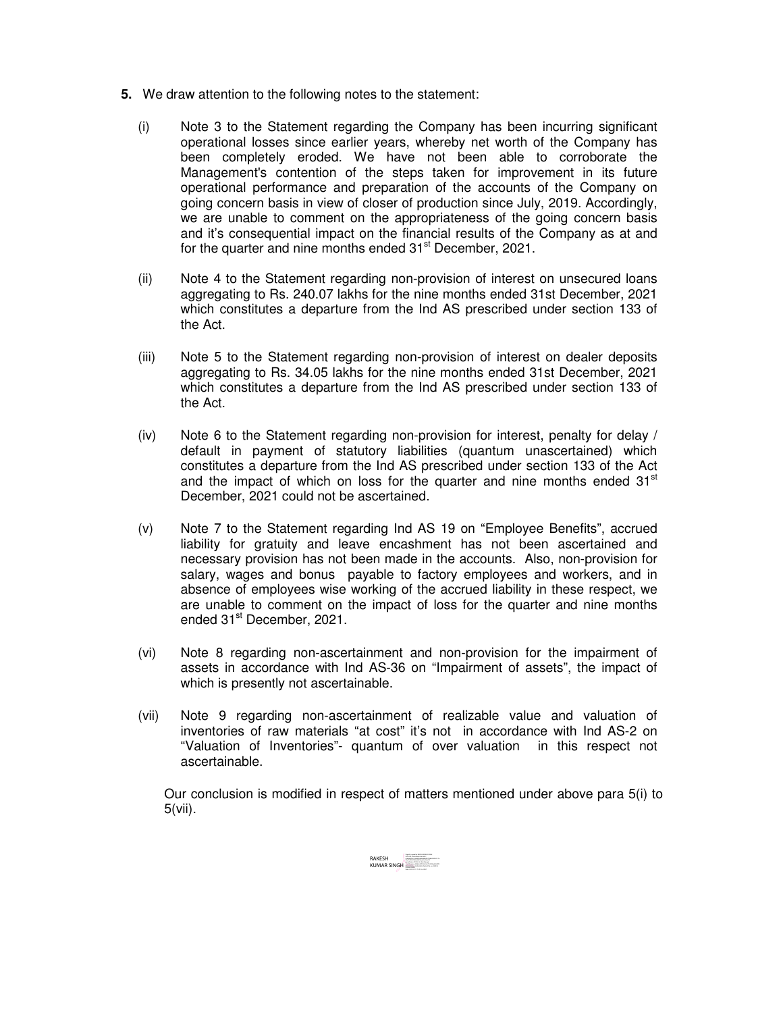- **5.** We draw attention to the following notes to the statement:
	- (i) Note 3 to the Statement regarding the Company has been incurring significant operational losses since earlier years, whereby net worth of the Company has been completely eroded. We have not been able to corroborate the Management's contention of the steps taken for improvement in its future operational performance and preparation of the accounts of the Company on going concern basis in view of closer of production since July, 2019. Accordingly, we are unable to comment on the appropriateness of the going concern basis and it's consequential impact on the financial results of the Company as at and for the quarter and nine months ended 31<sup>st</sup> December, 2021.
	- (ii) Note 4 to the Statement regarding non-provision of interest on unsecured loans aggregating to Rs. 240.07 lakhs for the nine months ended 31st December, 2021 which constitutes a departure from the Ind AS prescribed under section 133 of the Act.
	- (iii) Note 5 to the Statement regarding non-provision of interest on dealer deposits aggregating to Rs. 34.05 lakhs for the nine months ended 31st December, 2021 which constitutes a departure from the Ind AS prescribed under section 133 of the Act.
	- (iv) Note 6 to the Statement regarding non-provision for interest, penalty for delay / default in payment of statutory liabilities (quantum unascertained) which constitutes a departure from the Ind AS prescribed under section 133 of the Act and the impact of which on loss for the quarter and nine months ended  $31<sup>st</sup>$ December, 2021 could not be ascertained.
	- (v) Note 7 to the Statement regarding Ind AS 19 on "Employee Benefits", accrued liability for gratuity and leave encashment has not been ascertained and necessary provision has not been made in the accounts. Also, non-provision for salary, wages and bonus payable to factory employees and workers, and in absence of employees wise working of the accrued liability in these respect, we are unable to comment on the impact of loss for the quarter and nine months ended 31<sup>st</sup> December, 2021.
	- (vi) Note 8 regarding non-ascertainment and non-provision for the impairment of assets in accordance with Ind AS-36 on "Impairment of assets", the impact of which is presently not ascertainable.
	- (vii) Note 9 regarding non-ascertainment of realizable value and valuation of inventories of raw materials "at cost" it's not in accordance with Ind AS-2 on "Valuation of Inventories"- quantum of over valuation in this respect not ascertainable.

Our conclusion is modified in respect of matters mentioned under above para 5(i) to 5(vii).

RAKESH<br>KUMAR SINGH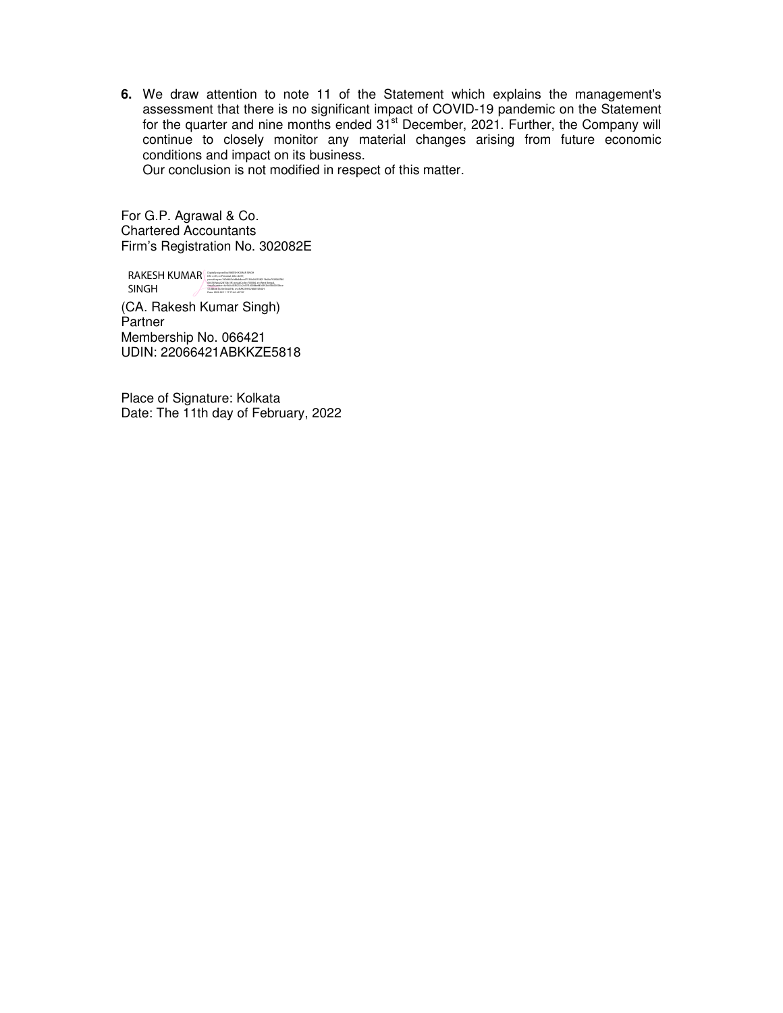**6.** We draw attention to note 11 of the Statement which explains the management's assessment that there is no significant impact of COVID-19 pandemic on the Statement for the quarter and nine months ended 31<sup>st</sup> December, 2021. Further, the Company will continue to closely monitor any material changes arising from future economic conditions and impact on its business.

Our conclusion is not modified in respect of this matter.

For G.P. Agrawal & Co. Chartered Accountants Firm's Registration No. 302082E

RAKESH KUMAR SINGH AND RAKESH KUMAR SINGH CONTROL DELAND CONTROL SINGH posudomym i 7:00:0065child+dc.co275120:0475181211b260+7801918780<br>@ASS69aba43d15dc1ff, postalCode=700084, et=Weet Bergal,<br>GetalNamber=6c9b0c4510213c2c07140008e4d36992b05860058bce<br>State=2022.02.1117:17:46 +65'30'<br>Date: 2022.

(CA. Rakesh Kumar Singh) Partner Membership No. 066421 UDIN: 22066421ABKKZE5818

Place of Signature: Kolkata Date: The 11th day of February, 2022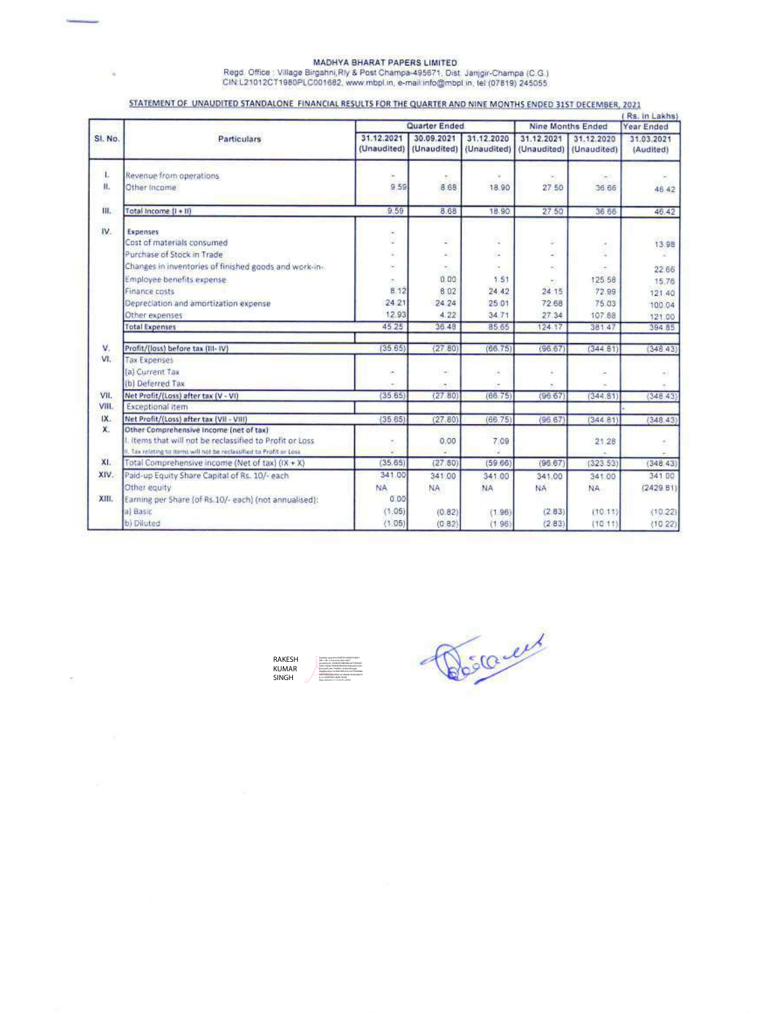## MADHYA BHARAT PAPERS LIMITED<br>Regd. Office : Village Birgahni,Rly & Post Champa-495671, Dist. Janjgir-Champa (C.G.)<br>CIN:L21012CT1980PLC001682, www.mbpl.in, e-mail.info@mbpl.in, tel (07819) 245055

×.

## STATEMENT OF UNAUDITED STANDALONE FINANCIAL RESULTS FOR THE QUARTER AND NINE MONTHS ENDED 31ST DECEMBER, 2021

| SI. No.    | Particulars                                                                                                              |                           | Quarter Ended             |                           |                           | Nine Months Ended         |                         |
|------------|--------------------------------------------------------------------------------------------------------------------------|---------------------------|---------------------------|---------------------------|---------------------------|---------------------------|-------------------------|
|            |                                                                                                                          | 31.12.2021<br>(Unaudited) | 30.09.2021<br>(Unaudited) | 31.12.2020<br>(Unaudited) | 31.12.2021<br>(Unaudited) | 31.12.2020<br>(Unaudited) | 31.03.2021<br>(Audited) |
| Ł          | Revenue from operations                                                                                                  | $\rightarrow$             |                           |                           |                           |                           |                         |
| ii.        | Other Income                                                                                                             | 9.59                      | 8.68                      | 18.90                     | 27 50                     | 36.66                     | 46:42                   |
| m.         | Total Income (I + II)                                                                                                    | 9.59                      | 8.68                      | 18.90                     | 27,50                     | 36.66                     | 46.42                   |
| IV.        | Expenses                                                                                                                 | ٠                         |                           |                           |                           |                           |                         |
|            | Cost of materials consumed                                                                                               | ٠                         | s                         | ä                         | c                         | $\omega$                  | 13.98                   |
|            | Purchase of Stock in Trade                                                                                               | $\sim$                    | ä.                        | a.                        | 내                         |                           |                         |
|            | Changes in inventories of finished goods and work-in-                                                                    | $\sim$                    | ۰                         |                           | ×                         |                           | 22.66                   |
|            | Employee benefits expense.                                                                                               | ×                         | 0.00                      | 1.51                      |                           | 125.58                    | 15.76                   |
|            | Finance costs                                                                                                            | 8.12                      | 6.02                      | 24.42                     | 24.15                     | 72.99                     | 121.40                  |
|            | Depreciation and amortization expense                                                                                    | 24.21                     | 24.24                     | 25.01                     | 72.68                     | 75.03                     | 100.04                  |
|            | Other expenses                                                                                                           | 12.93                     | 4.22                      | 34.71                     | 27.34                     | 107.88                    | 121.00                  |
|            | <b>Total Expenses</b>                                                                                                    | 45 25                     | 36.48                     | 85.65                     | 124.17                    | 381.47                    | 394 85                  |
| v.         | Profit/(loss) before tax (III-IV)                                                                                        | (35.65)                   | (27, 80)                  | (66.75)                   | (96.67)                   | (344.61)                  | (348.43)                |
| VI.        | <b>Tax Expenses</b>                                                                                                      |                           |                           |                           |                           |                           |                         |
|            | (a) Current Tax                                                                                                          | ۰                         | $\sim$                    | $\epsilon$                | ×                         | $\sim$                    | ÷                       |
|            | (b) Deferred Tax                                                                                                         |                           |                           |                           |                           |                           |                         |
| VII.       | Net Profit/(Loss) after tax (V - VI)                                                                                     | (3565)                    | (27.80)                   | (66.75)                   | (96.67)                   | (344.81)                  | (348.43)                |
| VIII.      | Exceptional item                                                                                                         |                           |                           |                           |                           |                           |                         |
| IX.        | Net Profit/(Loss) after tax (VII - VIII)                                                                                 | (35.65)                   | (27.80)                   | (66.75)                   | (96.67                    | (344.81)                  | (348.43)                |
| X.         | Other Comprehensive Income (net of tax)                                                                                  |                           |                           |                           |                           |                           |                         |
|            | Litems that will not be reclassified to Profit or Loss                                                                   | $\alpha$                  | 0.00                      | 7.09                      |                           | 21.28                     | ă,                      |
| CO.<br>XI. | II. Tax relating to items will not be reclassified to Profit or Loss<br>Total Comprehensive income (Net of tax) (IX + X) | (35, 65)                  | (27.80)                   | (59.66)                   | (96.67)                   |                           |                         |
| XIV.       |                                                                                                                          | 341.00                    |                           |                           |                           | (323.53)                  | (348.43)                |
|            | Paid-up Equity Share Capital of Rs. 10/- each                                                                            |                           | 341.00                    | 341.00                    | 341.00                    | 341.00                    | 341 00                  |
| XIII.      | Other equity<br>Earning per Share (of Rs.10/- each) (not annualised):                                                    | NA.<br>0.00               | NA.                       | <b>NA</b>                 | <b>NA</b>                 | NA                        | (2429.81)               |
|            | a) Basic                                                                                                                 | (1.05)                    | (0.82)                    | (1.96)                    | (2.83)                    | (10.11)                   | (10.22)                 |
|            | b) Diluted                                                                                                               | (1.05)                    | (0.82)                    | (1.96)                    | (283)                     | (1011)                    | (10.22)                 |
|            |                                                                                                                          |                           |                           |                           |                           |                           |                         |



Déscrier